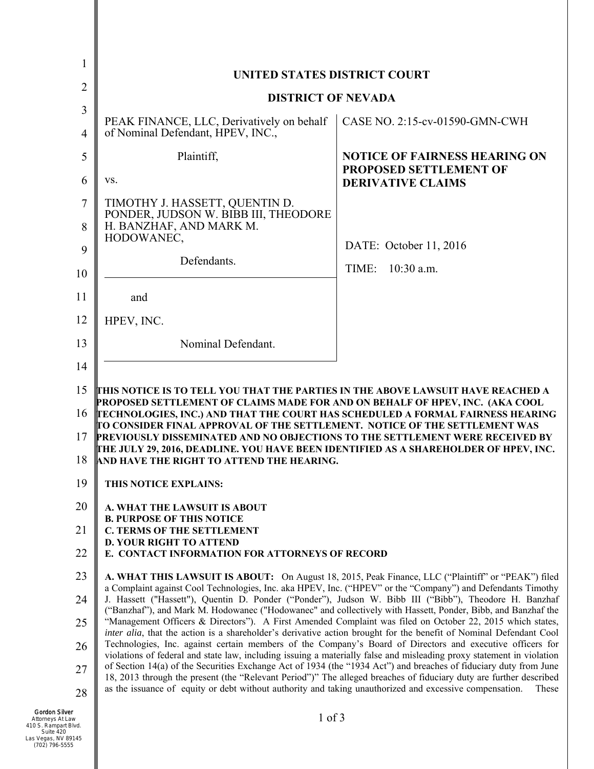|                | <b>UNITED STATES DISTRICT COURT</b>                                                                                                                                                                                                                                                                                                                                                                                                                                                                                                                                                                                                                                                                                                                                                                                                                                                                                                                                                                                                                                                                                                                                                                                                                                                 |                                                                       |
|----------------|-------------------------------------------------------------------------------------------------------------------------------------------------------------------------------------------------------------------------------------------------------------------------------------------------------------------------------------------------------------------------------------------------------------------------------------------------------------------------------------------------------------------------------------------------------------------------------------------------------------------------------------------------------------------------------------------------------------------------------------------------------------------------------------------------------------------------------------------------------------------------------------------------------------------------------------------------------------------------------------------------------------------------------------------------------------------------------------------------------------------------------------------------------------------------------------------------------------------------------------------------------------------------------------|-----------------------------------------------------------------------|
| $\overline{2}$ | <b>DISTRICT OF NEVADA</b>                                                                                                                                                                                                                                                                                                                                                                                                                                                                                                                                                                                                                                                                                                                                                                                                                                                                                                                                                                                                                                                                                                                                                                                                                                                           |                                                                       |
| 3              |                                                                                                                                                                                                                                                                                                                                                                                                                                                                                                                                                                                                                                                                                                                                                                                                                                                                                                                                                                                                                                                                                                                                                                                                                                                                                     |                                                                       |
| $\overline{4}$ | PEAK FINANCE, LLC, Derivatively on behalf<br>of Nominal Defendant, HPEV, INC.,                                                                                                                                                                                                                                                                                                                                                                                                                                                                                                                                                                                                                                                                                                                                                                                                                                                                                                                                                                                                                                                                                                                                                                                                      | CASE NO. 2:15-cv-01590-GMN-CWH                                        |
| 5              | Plaintiff,                                                                                                                                                                                                                                                                                                                                                                                                                                                                                                                                                                                                                                                                                                                                                                                                                                                                                                                                                                                                                                                                                                                                                                                                                                                                          | <b>NOTICE OF FAIRNESS HEARING ON</b><br><b>PROPOSED SETTLEMENT OF</b> |
| 6              | VS.                                                                                                                                                                                                                                                                                                                                                                                                                                                                                                                                                                                                                                                                                                                                                                                                                                                                                                                                                                                                                                                                                                                                                                                                                                                                                 | <b>DERIVATIVE CLAIMS</b>                                              |
| 7              | TIMOTHY J. HASSETT, QUENTIN D.<br>PONDER, JUDSON W. BIBB III, THEODORE                                                                                                                                                                                                                                                                                                                                                                                                                                                                                                                                                                                                                                                                                                                                                                                                                                                                                                                                                                                                                                                                                                                                                                                                              |                                                                       |
| 8              | H. BANZHAF, AND MARK M.<br>HODOWANEC,                                                                                                                                                                                                                                                                                                                                                                                                                                                                                                                                                                                                                                                                                                                                                                                                                                                                                                                                                                                                                                                                                                                                                                                                                                               |                                                                       |
| 9              |                                                                                                                                                                                                                                                                                                                                                                                                                                                                                                                                                                                                                                                                                                                                                                                                                                                                                                                                                                                                                                                                                                                                                                                                                                                                                     | DATE: October 11, 2016                                                |
| 10             | Defendants.                                                                                                                                                                                                                                                                                                                                                                                                                                                                                                                                                                                                                                                                                                                                                                                                                                                                                                                                                                                                                                                                                                                                                                                                                                                                         | TIME:<br>$10:30$ a.m.                                                 |
| 11             | and                                                                                                                                                                                                                                                                                                                                                                                                                                                                                                                                                                                                                                                                                                                                                                                                                                                                                                                                                                                                                                                                                                                                                                                                                                                                                 |                                                                       |
| 12             | HPEV, INC.                                                                                                                                                                                                                                                                                                                                                                                                                                                                                                                                                                                                                                                                                                                                                                                                                                                                                                                                                                                                                                                                                                                                                                                                                                                                          |                                                                       |
| 13             | Nominal Defendant.                                                                                                                                                                                                                                                                                                                                                                                                                                                                                                                                                                                                                                                                                                                                                                                                                                                                                                                                                                                                                                                                                                                                                                                                                                                                  |                                                                       |
| 14             |                                                                                                                                                                                                                                                                                                                                                                                                                                                                                                                                                                                                                                                                                                                                                                                                                                                                                                                                                                                                                                                                                                                                                                                                                                                                                     |                                                                       |
| 15             | THIS NOTICE IS TO TELL YOU THAT THE PARTIES IN THE ABOVE LAWSUIT HAVE REACHED A                                                                                                                                                                                                                                                                                                                                                                                                                                                                                                                                                                                                                                                                                                                                                                                                                                                                                                                                                                                                                                                                                                                                                                                                     |                                                                       |
| 16             | PROPOSED SETTLEMENT OF CLAIMS MADE FOR AND ON BEHALF OF HPEV, INC. (AKA COOL<br>TECHNOLOGIES, INC.) AND THAT THE COURT HAS SCHEDULED A FORMAL FAIRNESS HEARING<br>TO CONSIDER FINAL APPROVAL OF THE SETTLEMENT.  NOTICE OF THE SETTLEMENT WAS<br>PREVIOUSLY DISSEMINATED AND NO OBJECTIONS TO THE SETTLEMENT WERE RECEIVED BY<br>THE JULY 29, 2016, DEADLINE. YOU HAVE BEEN IDENTIFIED AS A SHAREHOLDER OF HPEV, INC.<br>AND HAVE THE RIGHT TO ATTEND THE HEARING.                                                                                                                                                                                                                                                                                                                                                                                                                                                                                                                                                                                                                                                                                                                                                                                                                  |                                                                       |
| 17             |                                                                                                                                                                                                                                                                                                                                                                                                                                                                                                                                                                                                                                                                                                                                                                                                                                                                                                                                                                                                                                                                                                                                                                                                                                                                                     |                                                                       |
| 18             |                                                                                                                                                                                                                                                                                                                                                                                                                                                                                                                                                                                                                                                                                                                                                                                                                                                                                                                                                                                                                                                                                                                                                                                                                                                                                     |                                                                       |
| 19             | THIS NOTICE EXPLAINS:                                                                                                                                                                                                                                                                                                                                                                                                                                                                                                                                                                                                                                                                                                                                                                                                                                                                                                                                                                                                                                                                                                                                                                                                                                                               |                                                                       |
| 20             | A. WHAT THE LAWSUIT IS ABOUT                                                                                                                                                                                                                                                                                                                                                                                                                                                                                                                                                                                                                                                                                                                                                                                                                                                                                                                                                                                                                                                                                                                                                                                                                                                        |                                                                       |
| 21             | <b>B. PURPOSE OF THIS NOTICE</b><br><b>C. TERMS OF THE SETTLEMENT</b>                                                                                                                                                                                                                                                                                                                                                                                                                                                                                                                                                                                                                                                                                                                                                                                                                                                                                                                                                                                                                                                                                                                                                                                                               |                                                                       |
| 22             | <b>D. YOUR RIGHT TO ATTEND</b><br>E. CONTACT INFORMATION FOR ATTORNEYS OF RECORD                                                                                                                                                                                                                                                                                                                                                                                                                                                                                                                                                                                                                                                                                                                                                                                                                                                                                                                                                                                                                                                                                                                                                                                                    |                                                                       |
| 23             |                                                                                                                                                                                                                                                                                                                                                                                                                                                                                                                                                                                                                                                                                                                                                                                                                                                                                                                                                                                                                                                                                                                                                                                                                                                                                     |                                                                       |
|                | A. WHAT THIS LAWSUIT IS ABOUT: On August 18, 2015, Peak Finance, LLC ("Plaintiff" or "PEAK") filed<br>a Complaint against Cool Technologies, Inc. aka HPEV, Inc. ("HPEV" or the "Company") and Defendants Timothy<br>J. Hassett ("Hassett"), Quentin D. Ponder ("Ponder"), Judson W. Bibb III ("Bibb"), Theodore H. Banzhaf<br>("Banzhaf"), and Mark M. Hodowanec ("Hodowanec" and collectively with Hassett, Ponder, Bibb, and Banzhaf the<br>"Management Officers & Directors"). A First Amended Complaint was filed on October 22, 2015 which states,<br>inter alia, that the action is a shareholder's derivative action brought for the benefit of Nominal Defendant Cool<br>Technologies, Inc. against certain members of the Company's Board of Directors and executive officers for<br>violations of federal and state law, including issuing a materially false and misleading proxy statement in violation<br>of Section 14(a) of the Securities Exchange Act of 1934 (the "1934 Act") and breaches of fiduciary duty from June<br>18, 2013 through the present (the "Relevant Period")" The alleged breaches of fiduciary duty are further described<br>as the issuance of equity or debt without authority and taking unauthorized and excessive compensation.<br>These |                                                                       |
| 24             |                                                                                                                                                                                                                                                                                                                                                                                                                                                                                                                                                                                                                                                                                                                                                                                                                                                                                                                                                                                                                                                                                                                                                                                                                                                                                     |                                                                       |
| 25<br>26       |                                                                                                                                                                                                                                                                                                                                                                                                                                                                                                                                                                                                                                                                                                                                                                                                                                                                                                                                                                                                                                                                                                                                                                                                                                                                                     |                                                                       |
| 27             |                                                                                                                                                                                                                                                                                                                                                                                                                                                                                                                                                                                                                                                                                                                                                                                                                                                                                                                                                                                                                                                                                                                                                                                                                                                                                     |                                                                       |
| 28             |                                                                                                                                                                                                                                                                                                                                                                                                                                                                                                                                                                                                                                                                                                                                                                                                                                                                                                                                                                                                                                                                                                                                                                                                                                                                                     |                                                                       |
| W              | $1$ of $3$                                                                                                                                                                                                                                                                                                                                                                                                                                                                                                                                                                                                                                                                                                                                                                                                                                                                                                                                                                                                                                                                                                                                                                                                                                                                          |                                                                       |
| 3lvd.          |                                                                                                                                                                                                                                                                                                                                                                                                                                                                                                                                                                                                                                                                                                                                                                                                                                                                                                                                                                                                                                                                                                                                                                                                                                                                                     |                                                                       |

I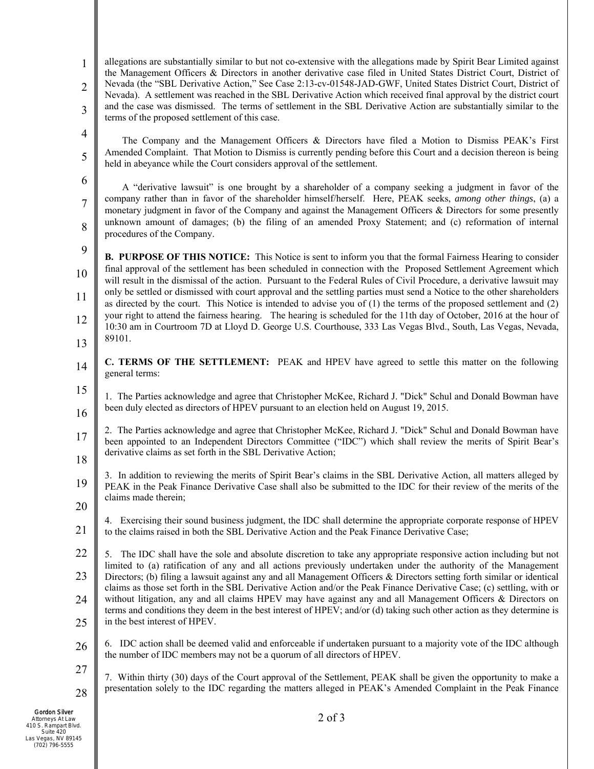1 2 3 4 allegations are substantially similar to but not co-extensive with the allegations made by Spirit Bear Limited against the Management Officers & Directors in another derivative case filed in United States District Court, District of Nevada (the "SBL Derivative Action," See Case 2:13-cv-01548-JAD-GWF, United States District Court, District of Nevada). A settlement was reached in the SBL Derivative Action which received final approval by the district court and the case was dismissed. The terms of settlement in the SBL Derivative Action are substantially similar to the terms of the proposed settlement of this case.

The Company and the Management Officers & Directors have filed a Motion to Dismiss PEAK's First Amended Complaint. That Motion to Dismiss is currently pending before this Court and a decision thereon is being held in abeyance while the Court considers approval of the settlement.

A "derivative lawsuit" is one brought by a shareholder of a company seeking a judgment in favor of the company rather than in favor of the shareholder himself/herself. Here, PEAK seeks, *among other things*, (a) a monetary judgment in favor of the Company and against the Management Officers & Directors for some presently unknown amount of damages; (b) the filing of an amended Proxy Statement; and (c) reformation of internal procedures of the Company.

 $\mathbf Q$ 

8

5

6

7

10 11 12 13 **B. PURPOSE OF THIS NOTICE:** This Notice is sent to inform you that the formal Fairness Hearing to consider final approval of the settlement has been scheduled in connection with the Proposed Settlement Agreement which will result in the dismissal of the action. Pursuant to the Federal Rules of Civil Procedure, a derivative lawsuit may only be settled or dismissed with court approval and the settling parties must send a Notice to the other shareholders as directed by the court. This Notice is intended to advise you of (1) the terms of the proposed settlement and (2) your right to attend the fairness hearing. The hearing is scheduled for the 11th day of October, 2016 at the hour of 10:30 am in Courtroom 7D at Lloyd D. George U.S. Courthouse, 333 Las Vegas Blvd., South, Las Vegas, Nevada, 89101.

- 14 **C. TERMS OF THE SETTLEMENT:** PEAK and HPEV have agreed to settle this matter on the following general terms:
- 15 16 1. The Parties acknowledge and agree that Christopher McKee, Richard J. "Dick" Schul and Donald Bowman have been duly elected as directors of HPEV pursuant to an election held on August 19, 2015.
- 17 18 2. The Parties acknowledge and agree that Christopher McKee, Richard J. "Dick" Schul and Donald Bowman have been appointed to an Independent Directors Committee ("IDC") which shall review the merits of Spirit Bear's derivative claims as set forth in the SBL Derivative Action;
- 19 3. In addition to reviewing the merits of Spirit Bear's claims in the SBL Derivative Action, all matters alleged by PEAK in the Peak Finance Derivative Case shall also be submitted to the IDC for their review of the merits of the claims made therein;
- 20 21 4. Exercising their sound business judgment, the IDC shall determine the appropriate corporate response of HPEV to the claims raised in both the SBL Derivative Action and the Peak Finance Derivative Case;
- 22 23 24 25 5. The IDC shall have the sole and absolute discretion to take any appropriate responsive action including but not limited to (a) ratification of any and all actions previously undertaken under the authority of the Management Directors; (b) filing a lawsuit against any and all Management Officers & Directors setting forth similar or identical claims as those set forth in the SBL Derivative Action and/or the Peak Finance Derivative Case; (c) settling, with or without litigation, any and all claims HPEV may have against any and all Management Officers & Directors on terms and conditions they deem in the best interest of HPEV; and/or (d) taking such other action as they determine is in the best interest of HPEV.
- 26 6. IDC action shall be deemed valid and enforceable if undertaken pursuant to a majority vote of the IDC although the number of IDC members may not be a quorum of all directors of HPEV.

7. Within thirty (30) days of the Court approval of the Settlement, PEAK shall be given the opportunity to make a presentation solely to the IDC regarding the matters alleged in PEAK's Amended Complaint in the Peak Finance

Gordon Silver Attorneys At Law 410 S. Rampart Blvd. Suite 420 Las Vegas, NV 89145 (702) 796-5555

27

28